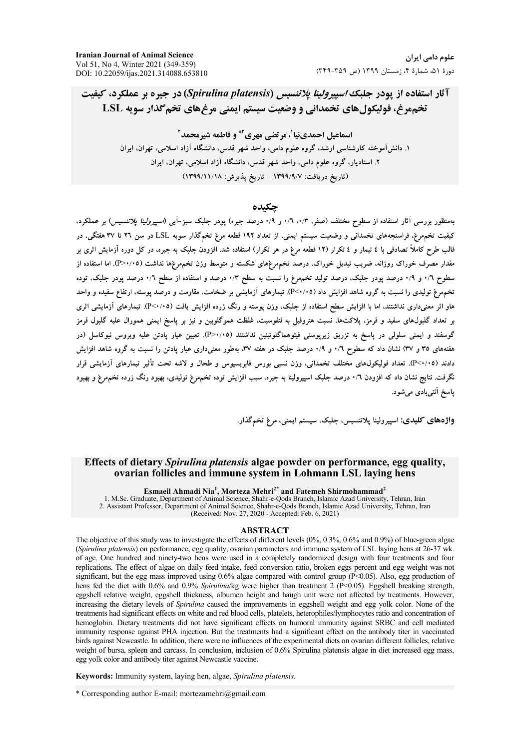# آثار استفاده از یودر جلبک *اسپیرولینا پلاتنسیس (Spirulina platensis*) در جیره بر عملکرد، کیفیت تخممرغ، فولیکولهای تخمدانی و وضعیت سیستم ایمنی مرغهای تخم گذار سویه LSL

اسماعیل احمدینیا<sup>٬</sup>، مرتضی مهری<sup>۲</sup>\* و فاطمه شیرمحمد<sup>۲</sup> ۱. دانش آموخته کارشناسی ارشد، گروه علوم دامی، واحد شهر قدس، دانشگاه آزاد اسلامی، تهران، ایران ۲. استادیار، گروه علوم دامی، واحد شهر قدس، دانشگاه آزاد اسلامی، تهران، ایران (تاریخ دریافت: ۱۳۹۹/۹/۷ – تاریخ پذیرش: ۱۳۹۹/۱۱/۱۸)

# حكىدە

بهمنظور بررسی آثار استفاده از سطوح مختلف (صفر، ۰/۳، ۰/۹ و ۰/۹ درصد جیره) یودر جلبک سبز-آبی (*اسپیرولینا پلاتنسیس)* بر عملکرد، کیفیت تخمهرغ، فراسنجههای تخمدانی و وضعیت سیستم ایمنی، از تعداد ۱۹۲ قطعه مرغ تخمگذار سویه LSL در سن ۲۲ تا ۳۷ هفتگی، در قالب طرح کاملاً تصادفی با ٤ تیمار و ٤ تکرار (١٢ قطعه مرغ در هر تکرار) استفاده شد. افزودن جلبک به جیره، در کل دوره آزمایش اثری بر مقدار مصرف خوراک روزانه، ضریب تبدیل خوراک، درصد تخمهرغهای شکسته و متوسط وزن تخمهرغها نداشت (۴/۰۷-P). اما استفاده از سطوح ۰/٦ و ۰/۹ درصد پودر جلبک، درصد تولید تخمهرغ را نسبت به سطح ۰/۳ درصد و استفاده از سطح ۰/٦ درصد پودر جلبک، توده تخمهرغ تولیدی را نسبت به گروه شاهد افزایش داد (۴<۰/۰۵). تیمارهای آزمایشی بر ضخامت، مقاومت و درصد پوسته، ارتفاع سفیده و واحد هاو اثر معنیداری نداشتند. اما با افزایش سطح استفاده از جلبک، وزن یوسته و رنگ زرده افزایش یافت (P<۰/۰۵). تیمارهای آزمایشی اثری بر تعداد گلبول&ای سفید و قرمز، پلاکتها، نسبت هتروفیل به لنفوسیت، غلظت هموگلویین و نیز بر پاسخ ایمنی همورال علیه گلبول قرمز گوسفند و ایمنی سلولی در پاسخ به نزریق زیرپوستی فیتوهماگلوتینین نداشتند (P>۰/۰۵). تعیین عیار پادتن علیه ویروس نیوکاسل (در هفتههای ۳۵ و ۳۷) نشان داد که سطوح ۰/٦ و ۰/۹ درصد جلبک در هفته ۳۷. بهطور معنیداری عیار پادتن را نسبت به گروه شاهد افزایش دادند (P<۰/۰۵). تعداد فولیکول&ای مختلف تخمدانی، وزن نسبی بورس فابریسیوس و طحال و لاشه تحت تأثیر تیمارهای آزمایشی قرار نگرفت. نتایج نشان داد که افزودن ۰/٦ درصد جلبک اسپیرولینا به جیره، سبب افزایش توده تخمهرغ تولیدی، بهبود رنگ زرده تخمهرغ و بهبود یاسخ آنتیبادی می شود.

واژههای کلیدی: اسپیرولینا پلاتنسیس، جلبک، سیستم ایمنی، مرغ تخمگذار.

# Effects of dietary Spirulina platensis algae powder on performance, egg quality, ovarian follicles and immune system in Lohmann LSL laving hens

Esmaeil Ahmadi Nia<sup>1</sup>, Morteza Mehri<sup>2\*</sup> and Fatemeh Shirmohammad<sup>2</sup><br>1. M.Sc. Graduate, Department of Animal Science, Shahr-e-Qods Branch, Islamic Azad University, Tehran, Iran 2. Assistant Professor, Department of Animal Science, Shahr-e-Qods Branch, Islamic Azad University, Tehran, Iran (Received: Nov. 27, 2020 - Accepted: Feb. 6, 2021)

#### **ABSTRACT**

The objective of this study was to investigate the effects of different levels  $(0\%, 0.3\%, 0.6\%$  and  $0.9\%)$  of blue-green algae (Spirulina platensis) on performance, egg quality, ovarian parameters and immune system of LSL laying hens at 26-37 wk. of age. One hundred and ninety-two hens were used in a completely randomized design with four treatments and four replications. The effect of algae on daily feed intake, feed conversion ratio, broken eggs percent and egg weight was not significant, but the egg mass improved using  $0.6\%$  algae compared with control group (P<0.05). Also, egg production of hens fed the diet with 0.6% and 0.9% Spirulina/kg were higher than treatment 2 ( $P<0.05$ ). Eggshell breaking strength, eggshell relative weight, eggshell thickness, albumen height and haugh unit were not affected by treatments. However, increasing the dietary levels of Spirulina caused the improvements in eggshell weight and egg yolk color. None of the treatments had significant effects on white and red blood cells, platelets, heterophiles/lymphocytes ratio and concentration of hemoglobin. Dietary treatments did not have significant effects on humoral immunity against SRBC and cell mediated immunity response against PHA injection. But the treatments had a significant effect on the antibody titer in vaccinated birds against Newcastle. In addition, there were no influences of the experimental diets on ovarian different follicles, relative weight of bursa, spleen and carcass. In conclusion, inclusion of 0.6% Spirulina platensis algae in diet increased egg mass, egg yolk color and antibody titer against Newcastle vaccine.

Keywords: Immunity system, laying hen, algae, Spirulina platensis.

\* Corresponding author E-mail: mortezamehri@gmail.com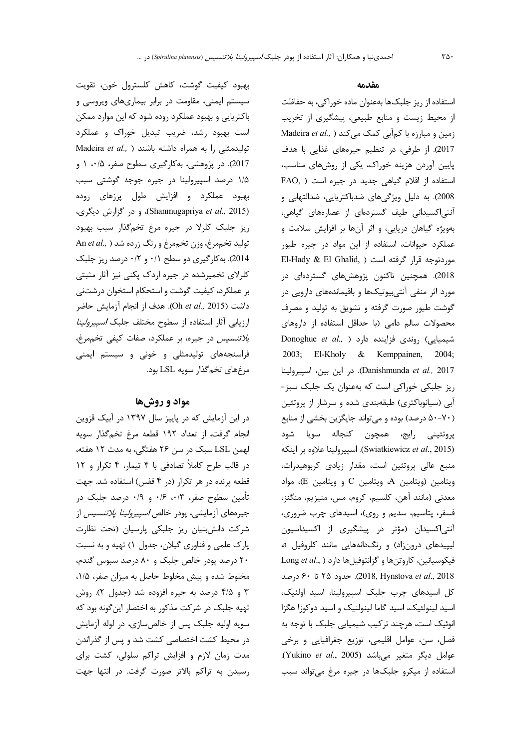بهبود كيفيت گوشت، كاهش كلسترول خون، تقويت سیستم ایمنی، مقاومت در برابر بیماریهای ویروسی و باکتریایی و بهبود عملکرد روده شود که این موارد ممکن است بهبود رشد، ضریب تبدیل خوراک و عملکرد Madeira et al., ) تولیدمثلی را به همراه داشته باشند 2017). در پژوهشی، بهکارگیری سطوح صفر، ۰/۵، ۱ و ۱/۵ درصد اسپیرولینا در جیره جوجه گوشتی سبب بهبود عملکرد و افزایش طول پرزهای روده (Shanmugapriya et al., 2015)، و در گزارش دیگری، ریز جلبک کلرلا در جیره مرغ تخمگذار سبب بهبود تولید تخمهرغ، وزن تخمهرغ و رنگ زرده شد ( ,An et al 2014). به کار گیری دو سطح ۰/۱ و ۰/۲ درصد ریز جلبک کلرلای تخمیرشده در جیره اردک پکنی نیز آثار مثبتی بر عملکرد، کیفیت گوشت و استحکام استخوان درشتنی داشت (Oh et al., 2015). هدف از انجام آزمایش حاضر ارزیابی آثار استفاده از سطوح مختلف جلبک *اسپیرولینا* پلاتنسیس در جیره، بر عملکرد، صفات کیفی تخممرغ، فراسنجههای تولیدمثلی و خونی و سیستم ایمنی مرغهاي تخم گذار سويه LSL بود.

# مواد و روشها

در این آزمایش که در پاییز سال ۱۳۹۷ در آبیک قزوین انجام گرفت، از تعداد ١٩٢ قطعه مرغ تخم گذار سويه لهمن LSL سبک در سن ۲۶ هفتگی، به مدت ۱۲ هفته، در قالب طرح كاملاً تصادفي با ۴ تيمار، ۴ تكرار و ١٢ قطعه پرنده در هر تکرار (در ۴ قفس) استفاده شد. جهت تأمین سطوح صفر، ۰/۳، ۰/۶ و ۰/۹ درصد جلبک در جیرههای آزمایشی، پودر خالص *اسپیرولینا پلاتنسیس* از شركت دانش بنيان ريز جلبكي پارسيان (تحت نظارت پارک علمی و فناوری گیلان، جدول ۱) تهیه و به نسبت ۲۰ درصد یودر خالص جلبک و ۸۰ درصد سبوس گندم، مخلوط شده و پیش مخلوط حاصل به میزان صفر، ۱/۵، ۳ و ۴/۵ درصد به جیره افزوده شد (جدول ۲). روش تهیه جلبک در شرکت مذکور به اختصار این گونه بود که سویه اولیه جلبک پس از خالصسازی، در لوله آزمایش در محیط کشت اختصاصی کشت شد و پس از گذراندن مدت زمان لازم و افزایش تراکم سلولی، کشت برای رسیدن به تراکم بالاتر صورت گرفت. در انتها جهت

#### مقدمه

استفاده از ریز جلبکها بهعنوان ماده خوراکی، به حفاظت از محیط زیست و منابع طبیعی، پیشگیری از تخریب Madeira et al., ) کمآبی کمک می کند (Madeira et al., ) 2017). از طرفی، در تنظیم جیرههای غذایی با هدف پایین آوردن هزینه خوراک، یکی از روشهای مناسب، FAO, ) استفاده از اقلام گیاهی جدید در جیره است 2008). به دلیل ویژگیهای ضدباکتریایی، ضدالتهابی و آنتی اکسیدانی طیف گستردهای از عصارههای گیاهی، بهویژه گیاهان دریایی، و اثر آنها بر افزایش سلامت و عملکرد حیوانات، استفاده از این مواد در جیره طیور El-Hady & El Ghalid, ) موردتوجه قرار گرفته است 2018). همچنین تاکنون پژوهشهای گستردهای در مورد اثر منفی آنتی بیوتیکها و باقیماندههای دارویی در گوشت طیور صورت گرفته و تشویق به تولید و مصرف محصولات سالم دامی (با حداقل استفاده از داروهای Donoghue et al., ) دراد ( Donoghue et al., ) 2003; El-Kholy & Kemppainen, 2004; Danishmunda et al., 2017). در این بین، اسپیرولینا ریز جلبکی خوراکی است که بهعنوان یک جلبک سبز-آبی (سیانوباکتری) طبقهبندی شده و سرشار از پروتئین (۷۰-۵۰ درصد) بوده و میتواند جایگزین بخشی از منابع پروتئینی رایج، همچون کنجاله سویا شود (Swiatkiewicz et al., 2015). اسپیرولینا علاوه بر اینکه منبع عالی پروتئین است، مقدار زیادی کربوهیدرات، ويتامين (ويتامين A، ويتامين C و ويتامين E)، مواد معدنی (مانند آهن، کلسیم، کروم، مس، منیزیم، منگنز، فسفر، پتاسیم، سدیم و روی)، اسیدهای چرب ضروری، آنتی اکسیدان (مؤثر در پیشگیری از اکسیداسیون لیپیدهای درونزاد) و رنگدانههایی مانند کلروفیل a، Long et al., ) داروتنها و گزانتوفيل ها دارد ( ..Long et al 2018, Hynstova et al., 2018). حدود ۲۵ تا ۶۰ درصد کل اسیدهای چرب جلبک اسپیرولینا، اسید اولئیک، اسید لینولئیک، اسید گاما لینولنیک و اسید دوکوزا هگزا انوئیک است، هرچند ترکیب شیمیایی جلبک با توجه به فصل، سن، عوامل اقليمي، توزيع جغرافيايي وبرخي .Yukino et al., 2005) عوامل ديگر متغير مى باشد. استفاده از میکرو جلبکها در جیره مرغ می تواند سبب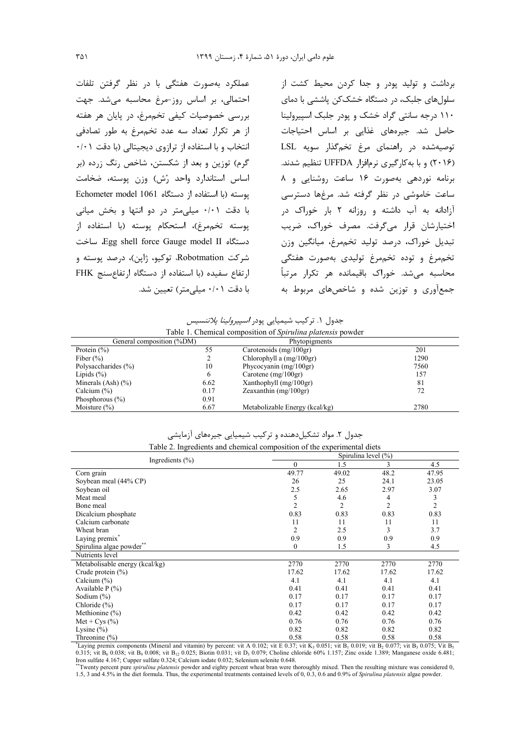عملکرد بهصورت هفتگی با در نظر گرفتن تلفات احتمالی، بر اساس روز-مرغ محاسبه می شد. جهت بررسی خصوصیات کیفی تخممرغ، در پایان هر هفته از هر تكرار تعداد سه عدد تخم مرغ به طور تصادفى انتخاب و با استفاده از ترازوی دیجیتالی (با دقت ۰/۰۱ گرم) توزین و بعد از شکستن، شاخص رنگ زرده (بر اساس استاندارد واحد رُش) وزن پوسته، ضخامت پوسته (با استفاده از دستگاه Echometer model 1061 با دقت ۰/۰۱ میلی متر در دو انتها و بخش میانی يوسته تخم مرغ)، استحكام يوسته (با استفاده از دستگاه Egg shell force Gauge model II ساخت شرکت Robotmation، توکیو، ژاین)، درصد یوسته و ارتفاع سفيده (با استفاده از دستگاه ارتفاعسنج FHK با دقت ۰/۰۱ میلی متر) تعیین شد.

برداشت و تولید یودر و جدا کردن محیط کشت از سلولهای جلبک، در دستگاه خشککن پاششی با دمای ۱۱۰ درجه سانتی گراد خشک و پودر جلبک اسپیرولینا حاصل شد. جیرههای غذایی بر اساس احتیاجات توصیهشده در راهنمای مرغ تخمگذار سویه LSL (۲۰۱۶) و با به کارگیری نرمافزار UFFDA تنظیم شدند. برنامه نوردهی بهصورت ١۶ ساعت روشنایی و ٨ ساعت خاموشی در نظر گرفته شد. مرغها دسترسی آزادانه به آب داشته و روزانه ۲ بار خوراک در اختيارشان قرار مي گرفت. مصرف خوراک، ضريب تبدیل خوراک، درصد تولید تخمهرغ، میانگین وزن تخمهرغ و توده تخمهرغ توليدي بهصورت هفتگي محاسبه میشد. خوراک باقیمانده هر تکرار مرتباً جمعآوری و توزین شده و شاخصهای مربوط به

| جدول ۱. ترکیب شیمیایی پودر <i>اسپیرولینا پلاتنسیس</i>              |  |  |  |  |  |
|--------------------------------------------------------------------|--|--|--|--|--|
| Table 1. Chemical composition of <i>Spirulina platensis</i> powder |  |  |  |  |  |

| General composition (%DM) |      | Phytopigments                  |      |
|---------------------------|------|--------------------------------|------|
| Protein $(\%)$            | 55   | Carotenoids $(mg/100gr)$       | 201  |
| Fiber $(\% )$             |      | Chlorophyll a $(mg/100gr)$     | 1290 |
| Polysaccharides (%)       | 10   | Phycocyanin $(mg/100gr)$       | 7560 |
| Lipids $(\% )$            | 6    | Carotene $(mg/100gr)$          | 157  |
| Minerals $(Ash)$ $(\% )$  | 6.62 | Xanthophyll $(mg/100gr)$       | 81   |
| Calcium $(\%)$            | 0.17 | Zeaxanthin $(mg/100gr)$        | 72   |
| Phosphorous $(\% )$       | 0.91 |                                |      |
| Moisture $(\% )$          | 6.67 | Metabolizable Energy (kcal/kg) | 2780 |

جدول ۲. مواد تشکیلدهنده و ترکیب شیمیایی جیرههای آزمایشی<br>.

| Table 2. Ingredients and chemical composition of the experimental diets |                         |       |                |                |  |  |  |  |
|-------------------------------------------------------------------------|-------------------------|-------|----------------|----------------|--|--|--|--|
|                                                                         | Spirulina level $(\% )$ |       |                |                |  |  |  |  |
| Ingredients $(\% )$                                                     | $\boldsymbol{0}$        | 1.5   | 3              | 4.5            |  |  |  |  |
| Corn grain                                                              | 49.77                   | 49.02 | 48.2           | 47.95          |  |  |  |  |
| Soybean meal (44% CP)                                                   | 26                      | 25    | 24.1           | 23.05          |  |  |  |  |
| Soybean oil                                                             | 2.5                     | 2.65  | 2.97           | 3.07           |  |  |  |  |
| Meat meal                                                               | 5                       | 4.6   | 4              | 3              |  |  |  |  |
| Bone meal                                                               | $\overline{c}$          | 2     | $\overline{c}$ | $\overline{2}$ |  |  |  |  |
| Dicalcium phosphate                                                     | 0.83                    | 0.83  | 0.83           | 0.83           |  |  |  |  |
| Calcium carbonate                                                       | 11                      | 11    | 11             | 11             |  |  |  |  |
| Wheat bran                                                              | $\overline{c}$          | 2.5   | 3              | 3.7            |  |  |  |  |
| Laying $\mbox{premix}^*$                                                | 0.9                     | 0.9   | 0.9            | 0.9            |  |  |  |  |
| Spirulina algae powder                                                  | $\Omega$                | 1.5   | 3              | 4.5            |  |  |  |  |
| Nutrients level                                                         |                         |       |                |                |  |  |  |  |
| Metabolisable energy (kcal/kg)                                          | 2770                    | 2770  | 2770           | 2770           |  |  |  |  |
| Crude protein $(\% )$                                                   | 17.62                   | 17.62 | 17.62          | 17.62          |  |  |  |  |
| Calcium $(\%)$                                                          | 4.1                     | 4.1   | 4.1            | 4.1            |  |  |  |  |
| Available $P(\%)$                                                       | 0.41                    | 0.41  | 0.41           | 0.41           |  |  |  |  |
| Sodium $(\%)$                                                           | 0.17                    | 0.17  | 0.17           | 0.17           |  |  |  |  |
| Chloride (%)                                                            | 0.17                    | 0.17  | 0.17           | 0.17           |  |  |  |  |
| Methionine (%)                                                          | 0.42                    | 0.42  | 0.42           | 0.42           |  |  |  |  |
| Met + Cys $(\%$                                                         | 0.76                    | 0.76  | 0.76           | 0.76           |  |  |  |  |
| Lysine $(\% )$                                                          | 0.82                    | 0.82  | 0.82           | 0.82           |  |  |  |  |
| Threonine $(\% )$                                                       | 0.58                    | 0.58  | 0.58           | 0.58           |  |  |  |  |

Laying premix components (Mineral and vitamin) by percent: vit A 0.102; vit E 0.37; vit K<sub>3</sub> 0.051; vit B<sub>1</sub> 0.019; vit B<sub>2</sub> 0.077; vit B<sub>3</sub> 0.075; Vit B<sub>5</sub> 0.315; vit B<sub>6</sub> 0.038; vit B<sub>9</sub> 0.008; vit B<sub>12</sub> 0.025; Biotin 0.031; vit D<sub>3</sub> 0.079; Choline chloride 60% 1.157; Zinc oxide 1.389; Manganese oxide 6.481; Iron sulfate 4.167; Cupper sulfate 0.324; Calcium iodate 0.032; Selenium selenite 0.648.

The specific present pure spiruling platensis powder and eighty percent wheat bran were thoroughly mixed. Then the resulting mixture was considered 0,<br>1.5, 3 and 4.5% in the diet formula. Thus, the experimental treatments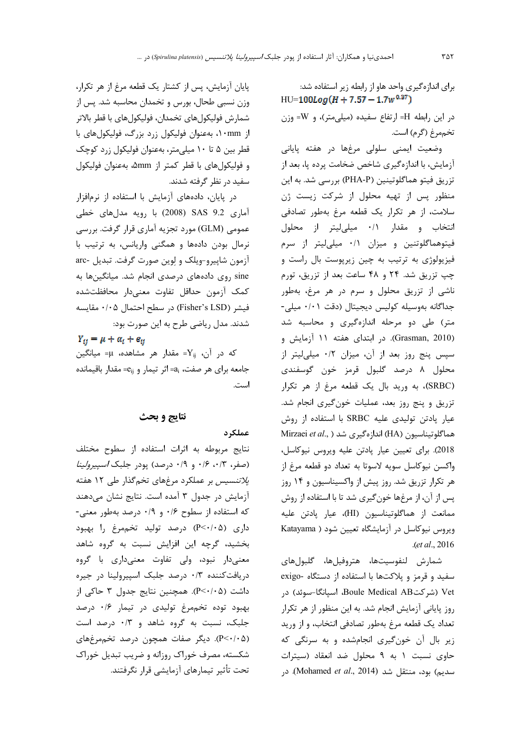برای اندازه گیری واحد هاو از رابطه زیر استفاده شد:  $HU=100Log(H+7.57-1.7w^{0.37})$ 

در این رابطه H= ارتفاع سفیده (میلیمتر)، و W= وزن تخمهرغ (گرم) است.

وضعیت ایمنی سلولی مرغها در هفته پایانی آزمایش، با اندازهگیری شاخص ضخامت پرده پا، بعد از تزريق فيتو هماگلوتينين (PHA-P) بررسي شد. به اين منظور پس از تهیه محلول از شرکت زیست ژن سلامت، از هر تكرار يك قطعه مرغ بهطور تصادفى انتخاب و مقدار ٠/١ ميليليتر از محلول فیتوهماگلوتنین و میزان ۰/۱ میلی لیتر از سرم فیزیولوژی به ترتیب به چین زیرپوست بال راست و چپ تزریق شد. ۲۴ و ۴۸ ساعت بعد از تزریق، تورم ناشي از تزريق محلول و سرم در هر مرغ، بهطور جداگانه بهوسیله کولیس دیجیتال (دقت ۰/۰۱ میلی-متر) طی دو مرحله اندازهگیری و محاسبه شد (Grasman, 2010). در ابتدای هفته ۱۱ آزمایش و سپس پنج روز بعد از آن، میزان ۰/۲ میلیلیتر از محلول ۸ درصد گلبول قرمز خون گوسفندی (SRBC)، به وريد بال يک قطعه مرغ از هر تكرار تزريق و پنج روز بعد، عمليات خون گيري انجام شد. عيار پادتن توليدي عليه SRBC با استفاده از روش Mirzaei et al., ) اندازهگیری شد (HA) Mirzaei et al., ) 2018). برای تعیین عیار پادتن علیه ویروس نیوکاسل، واكسن نيوكاسل سويه لاسوتا به تعداد دو قطعه مرغ از هر تکرار تزریق شد. روز پیش از واکسیناسیون و ۱۴ روز پس از آن، از مرغها خونگیری شد تا با استفاده از روش ممانعت از هماگلوتیناسیون (HI)، عیار پادتن علیه ویروس نیوکاسل در آزمایشگاه تعیین شود ( Katayama .(et al., 2016

شمارش لنفوسيتها، هتروفيلها، گلبولهاي سفید و قرمز و پلاکتها با استفاده از دستگاه -exigo Vet (شركتBoule Medical AB) اسيانگا-سوئد) در روز پایانی آزمایش انجام شد. به این منظور از هر تکرار تعداد یک قطعه مرغ بهطور تصادفی انتخاب، و از ورید زیر بال آن خون گیری انجامشده و به سرنگی که حاوی نسبت ١ به ٩ محلول ضد انعقاد (سيترات سديم) بود، منتقل شد (Mohamed et al., 2014). در

پایان آزمایش، پس از کشتار یک قطعه مرغ از هر تکرار، وزن نسبی طحال، بورس و تخمدان محاسبه شد. پس از شمارش فوليكولهاى تخمدان، فوليكولهاى با قطر بالاتر از ۱۰mm، بهعنوان فولیکول زرد بزرگ، فولیکولهای با قطر بین ۵ تا ۱۰ میلی متر، بهعنوان فولیکول زرد کوچک و فوليكول هاي با قطر كمتر از amm، بهعنوان فوليكول سفید در نظر گرفته شدند.

در پایان، دادههای آزمایش با استفاده از نرمافزار آماری SAS 9.2 (2008) با رویه مدلهای خطی عمومی (GLM) مورد تجزیه آماری قرار گرفت. بررسی نرمال بودن دادهها و همكنى واريانس، به ترتيب با آزمون شاپیرو-ویلک و لوین صورت گرفت. تبدیل -arc sine روی دادههای درصدی انجام شد. میانگینها به كمك أزمون حداقل تفاوت معنىدار محافظتشده فيشر (Fisher's LSD) در سطح احتمال ۰/۰۵ مقايسه شدند. مدل ریاضی طرح به این صورت بود:

 $Y_{ij} = \mu + \alpha_i + e_{ij}$ 

که در آن، X<sub>ij</sub> مقدار هر مشاهده، µ= میانگین جامعه برای هر صفت، a<sub>i</sub>=1 جانر تیمار و e<sub>ij=</sub> مقدار باقیمانده است.

# نتايج و بحث

عملكرد

نتايج مربوطه به اثرات استفاده از سطوح مختلف (صفر، ۰/۳، ۰/۶ و ۰/۹ درصد) پودر جلبک *اسپیرولینا پلاتنسیس* بر عملکرد مرغهای تخمگذار طی ۱۲ هفته آزمایش در جدول ۳ آمده است. نتایج نشان میدهند كه استفاده از سطوح ۰/۶ و ۰/۹ درصد بهطور معنى-داری (P<٠/٠۵) درصد تولید تخممرغ را بهبود بخشید، گرچه این افزایش نسبت به گروه شاهد معنىدار نبود، ولى تفاوت معنىدارى با گروه دریافت کننده ۰/۳ درصد جلبک اسپیرولینا در جیره داشت (P<٠/٠۵). همچنین نتایج جدول ۳ حاکی از بهبود توده تخم مرغ تولیدی در تیمار ۰/۶ درصد جلبک، نسبت به گروه شاهد و ۰/۳ درصد است (P<٠/٠۵). دیگر صفات همچون درصد تخممرغهای شکسته، مصرف خوراک روزانه و ضریب تبدیل خوراک تحت تأثير تيمارهاي آزمايشي قرار نگرفتند.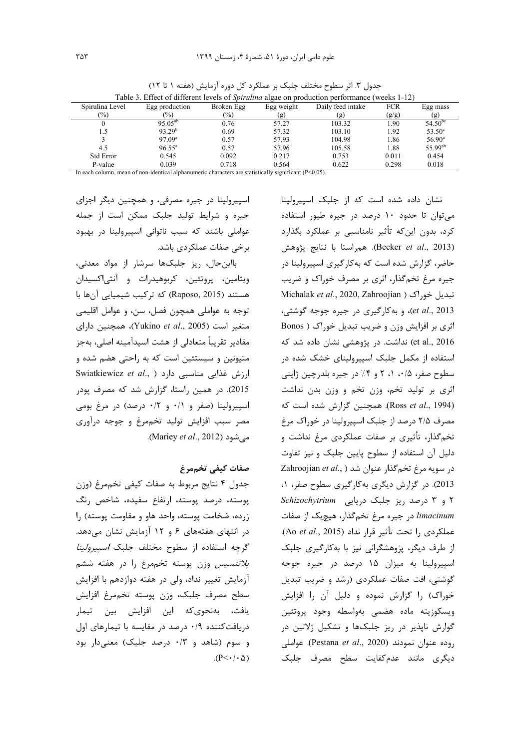| Table 5. Effect of different levels of <i>Spirituma</i> algae on production performance (weeks $1-12$ ) |                    |            |            |                   |            |                     |  |  |
|---------------------------------------------------------------------------------------------------------|--------------------|------------|------------|-------------------|------------|---------------------|--|--|
| Spirulina Level                                                                                         | Egg production     | Broken Egg | Egg weight | Daily feed intake | <b>FCR</b> | Egg mass            |  |  |
| $\frac{1}{2}$                                                                                           | $\frac{9}{0}$      | (%)        | (g)        | (g)               | (g/g)      | (g)                 |  |  |
|                                                                                                         | $95.05^{ab}$       | 0.76       | 57.27      | 103.32            | 1.90       | $54.50^{bc}$        |  |  |
| 1.5                                                                                                     | 93.29 <sup>b</sup> | 0.69       | 57.32      | 103.10            | 1.92       | $53.50^{\circ}$     |  |  |
|                                                                                                         | 97.09 <sup>a</sup> | 0.57       | 57.93      | 104.98            | 1.86       | $56.90^{\circ}$     |  |  |
| 4.5                                                                                                     | $96.55^{\circ}$    | 0.57       | 57.96      | 105.58            | 1.88       | 55.99 <sup>ab</sup> |  |  |
| <b>Std Error</b>                                                                                        | 0.545              | 0.092      | 0.217      | 0.753             | 0.011      | 0.454               |  |  |
| P-value                                                                                                 | 0.039              | 0.718      | 0.564      | 0.622             | 0.298      | 0.018               |  |  |

جدول ٣. اثر سطوح مختلف جلبک بر عملکرد کل دوره آزمایش (هفته ١ تا ١٢)  $T(11.2)$   $R(C)$   $(0.1)$   $C$ 

In each column, mean of non-identical alphanumeric characters are statistically significant  $(P<0.05)$ .

اسپیرولینا در جیره مصرفی، و همچنین دیگر اجزای جیره و شرایط تولید جلبک ممکن است از جمله عواملی باشند که سبب ناتوانی اسپیرولینا در بهبود برخی صفات عملکردی باشد.

بااین حال، ریز جلبکها سرشار از مواد معدنی، ویتامین، پروتئین، کربوهیدرات و آنتیاکسیدان هستند (Raposo, 2015) که ترکیب شیمیایی آنها با توجه به عواملي همچون فصل، سن، و عوامل اقليمي متغير است (Yukino et al., 2005)، همچنين داراي مقادیر تقریباً متعادلی از هشت اسیدآمینه اصلی، بهجز متیونین و سیستئین است که به راحتی هضم شده و Swiatkiewicz et al., ) ارزش غذایی مناسبی دارد 2015). در همین راستا، گزارش شد که مصرف پودر اسپیرولینا (صفر و ۰/۱ و ۰/۲ درصد) در مرغ بومی مصر سبب افزايش توليد تخممرغ و جوجه درآوري می شود (Mariey *et al.*, 2012).

# صفات كيفي تخممرغ

جدول ۴ نتايج مربوط به صفات كيفي تخممرغ (وزن پوسته، درصد پوسته، ارتفاع سفیده، شاخص رنگ زرده، ضخامت پوسته، واحد هاو و مقاومت پوسته) را در انتهای هفتههای ۶ و ۱۲ آزمایش نشان می دهد. گرچه استفاده از سطوح مختلف جلبک *اسپیرولینا پلاتنسیس* وزن پوسته تخممرغ را در هفته ششم آزمایش تغییر نداد، ولی در هفته دوازدهم با افزایش سطح مصرف جلبک، وزن پوسته تخم مرغ افزايش یافت، بهنحویکه این افزایش بین تیمار دریافت کننده ۰/۹ درصد در مقایسه با تیمارهای اول و سوم (شاهد و ۰/۳ درصد جلبک) معنیدار بود  $(P<\cdot/\cdot \Delta)$  نشان داده شده است که از جلبک اسیپرولینا می توان تا حدود ١٠ درصد در جيره طيور استفاده کرد، بدون این *که* تأثیر نامناسبی بر عملکرد بگذارد (Becker et al., 2013). هم استا با نتايج پژوهش حاضر، گزارش شده است که بهکارگیری اسپیرولینا در جیره مرغ تخمگذار، اثری بر مصرف خوراک و ضریب Michalak et al., 2020, Zahroojian ) تبدیل خوراک et al., 2013)، و به كاركيرى در جيره جوجه كوشتى، اثري بر افزايش وزن و ضريب تبديل خوراک ( Bonos et al., 2016) نداشت. در پژوهشی نشان داده شد که استفاده از مکمل جلبک اسپیرولینای خشک شده در سطوح صفر، ۰/۵، ۰٫۱ و ۴٪ در جیره بلدرچین ژاپنی اثری بر تولید تخم، وزن تخم و وزن بدن نداشت (Ross et al., 1994). همچنین گزارش شده است که مصرف ۲/۵ درصد از جلبک اسپیرولینا در خوراک مرغ تخمگذار، تأثیری بر صفات عملکردی مرغ نداشت و دلیل آن استفاده از سطوح پایین جلبک و نیز تفاوت Zahroojian et al., ) در سويه مرغ تخم گذار عنوان شد 2013). در گزارش دیگری به کارگیری سطوح صفر، ۰، ۲ و ۳ درصد ریز جلبک دریایی Schizochytrium limacinum در جيره مرغ تخمگذار، هيچيک از صفات عملكردى را تحت تأثير قرار نداد (Ao et al., 2015). از طرف دیگر، پژوهشگرانی نیز با به کارگیری جلبک اسپیرولینا به میزان ۱۵ درصد در جیره جوجه گوشتی، افت صفات عملکردی (رشد و ضریب تبدیل خوراک) را گزارش نموده و دلیل آن را افزایش ويسكوزيته ماده هضمى بهواسطه وجود پروتئين گوارش ناپذیر در ریز جلبکها و تشکیل ژلاتین در روده عنوان نمودند (Pestana et al., 2020). عواملي دیگری مانند عدمکفایت سطح مصرف جلبک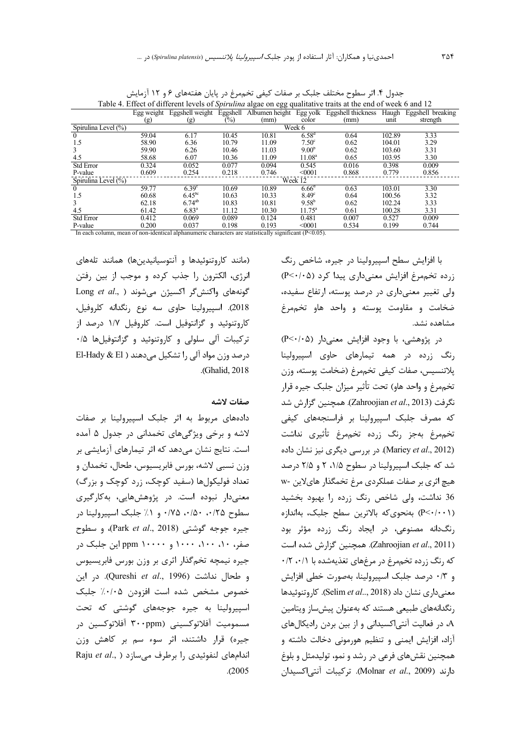| Table 4. Effect of different levels of <i>Spirulina</i> algae on egg qualitative traits at the end of week 6 and 12 |                                                                                                       |                    |                   |       |                    |                                                                     |        |                   |  |
|---------------------------------------------------------------------------------------------------------------------|-------------------------------------------------------------------------------------------------------|--------------------|-------------------|-------|--------------------|---------------------------------------------------------------------|--------|-------------------|--|
|                                                                                                                     | Egg weight                                                                                            |                    |                   |       |                    | Eggshell weight Eggshell Albumen height Egg yolk Eggshell thickness | Haugh  | Eggshell breaking |  |
|                                                                                                                     | (g)                                                                                                   | (g)                | $\left(\%\right)$ | (mm)  | color              | (mm)                                                                | unit   | strength          |  |
| Spirulina Level (%)                                                                                                 |                                                                                                       |                    |                   |       | Week 6             |                                                                     |        |                   |  |
| $\Omega$                                                                                                            | 59.04                                                                                                 | 6.17               | 10.45             | 10.81 | 6.58 <sup>d</sup>  | 0.64                                                                | 102.89 | 3.33              |  |
| 1.5                                                                                                                 | 58.90                                                                                                 | 6.36               | 10.79             | 11.09 | $7.50^{\circ}$     | 0.62                                                                | 104.01 | 3.29              |  |
| 3                                                                                                                   | 59.90                                                                                                 | 6.26               | 10.46             | 11.03 | 9.00 <sup>b</sup>  | 0.62                                                                | 103.60 | 3.31              |  |
| 4.5                                                                                                                 | 58.68                                                                                                 | 6.07               | 10.36             | 11.09 | 11.08 <sup>a</sup> | 0.65                                                                | 103.95 | 3.30              |  |
| <b>Std Error</b>                                                                                                    | 0.324                                                                                                 | 0.052              | 0.077             | 0.094 | 0.545              | 0.016                                                               | 0.398  | 0.009             |  |
| P-value                                                                                                             | 0.609                                                                                                 | 0.254              | 0.218             | 0.746 | < 0001             | 0.868                                                               | 0.779  | 0.856             |  |
| Spirulina Level (%)                                                                                                 |                                                                                                       |                    |                   |       | Week 12            |                                                                     |        |                   |  |
| $\theta$                                                                                                            | 59.77                                                                                                 | 6.39 <sup>c</sup>  | 10.69             | 10.89 | 6.66 <sup>d</sup>  | 0.63                                                                | 103.01 | 3.30              |  |
| 1.5                                                                                                                 | 60.68                                                                                                 | 6.45 <sup>bc</sup> | 10.63             | 10.33 | 8.49 <sup>c</sup>  | 0.64                                                                | 100.56 | 3.32              |  |
| 3                                                                                                                   | 62.18                                                                                                 | $6.74^{ab}$        | 10.83             | 10.81 | $9.58^{b}$         | 0.62                                                                | 102.24 | 3.33              |  |
| 4.5                                                                                                                 | 61.42                                                                                                 | $6.83^{a}$         | 11.12             | 10.30 | $11.75^{\circ}$    | 0.61                                                                | 100.28 | 3.31              |  |
| <b>Std Error</b>                                                                                                    | 0.412                                                                                                 | 0.069              | 0.089             | 0.124 | 0.481              | 0.007                                                               | 0.527  | 0.009             |  |
| P-value                                                                                                             | 0.200                                                                                                 | 0.037              | 0.198             | 0.193 | < 0001             | 0.534                                                               | 0.199  | 0.744             |  |
|                                                                                                                     | In each column mean of non-identical alphanumeric characters are statistically significant $(P<0.05)$ |                    |                   |       |                    |                                                                     |        |                   |  |

جدول ۴. اثر سطوح مختلف جلبک بر صفات کیفی تخممرغ در پایان هفتههای ۶ و ۱۲ آزمایش

In each column, mean of non-identical alphanumeric characters are statistically significant (P<0.05).

با افزایش سطح اسپیرولینا در جیره، شاخص رنگ زرده تخممرغ افزایش معنیداری پیدا کرد (P<٠/٠۵) ولی تغییر معنیداری در درصد پوسته، ارتفاع سفیده، ضخامت و مقاومت یوسته و واحد هاو تخممرغ مشاهده نشد.

 $(P<\cdot/\cdot \Delta)$  در پژوهشی، با وجود افزایش معنیدار ( $P<\cdot/\cdot \Delta$ رنگ زرده در همه تیمارهای حاوی اسپیرولینا پلاتنسيس، صفات كيفي تخممرغ (ضخامت پوسته، وزن تخممرغ و واحد هاو) تحت تأثير ميزان جلبک جيره قرار تگرفت (Zahroojian *et al.*, 2013). همچنین گزارش شد كه مصرف جلبك اسپيرولينا بر فراسنجههاى كيفى تخمهمرغ بهجز رنگ زرده تخمهرغ تأثيري نداشت (Mariey et al., 2012). در بررسی دیگری نیز نشان داده شد که جلبک اسپیرولینا در سطوح ۱/۵، ۲ و ۲/۵ درصد هیچ اثری بر صفات عملکردی مرغ تخمگذار هایلاین -w 36 نداشت، ولی شاخص رنگ زرده را بهبود بخشید (P<٠/٠١) بهنحوى كه بالاترين سطح جلبك، بهاندازه رنگدانه مصنوعی، در ایجاد رنگ زرده مؤثر بود (Zahroojian *et al*., 2011). همچنین گزارش شده است که رنگ زرده تخممرغ در مرغهای تغذیهشده با ۰/۲ ،۰/۱ و ٠/٣ درصد جلبک اسپيرولينا، بهصورت خطي افزايش معنی داری نشان داد (Selim *et al..*, 2018). کاروتنوئیدها رنگدانههای طبیعی هستند که بهعنوان پیش ساز ویتامین ه در فعالیت آنتی|کسیدانی و از بین بردن رادیکالهای A آزاد، افزایش ایمنی و تنظیم هورمونی دخالت داشته و همچنین نقشهای فرعی در رشد و نمو، تولیدمثل و بلوغ دارند (Molnar *et al.*, 2009). تركيبات آنتى اكسيدان

(مانند كاروتنوئيدها و آنتوسيانيدينها) همانند تلههاى انرژی، الکترون را جذب کرده و موجب از بین رفتن  $\operatorname{Long}$  *et al*., ) فونههای واکنشگر اکسیژن میشوند 2018). اسپیرولینا حاوی سه نوع رنگدانه کلروفیل، كاروتنوئيد و گزانتوفيل است. كلروفيل ١/٧ درصد از تركيبات آلى سلولى و كاروتنوئيد و گزانتوفيلها ۰/۵  $E$ El-Hady & El ) درصد وزن مواد آلی را تشکیل می $\Delta$ دهند .(Ghalid, 2018).

صفات لاشه

دادههای مربوط به اثر جلبک اسپیرولینا بر صفات لاشه و برخی ویژگیهای تخمدانی در جدول ۵ آمده است. نتایج نشان میدهد که اثر تیمارهای آزمایشی بر وزن نسبی لاشه، بورس فابریسیوس، طحال، تخمدان و تعداد فوليکولها (سفيد کوچک، زرد کوچک و بزرگ) معنیدار نبوده است. در پژوهشهایی، بهکارگیری سطوح ۰/۵۰، ۰/۵۰، ۰/۷۵ و ۱/ جلبک اسپیرولینا در جیره جوجه گوشتی (Park *et al.*, 2018)، و سطوح صفر، ۱۰، ۱۰۰، ۱۰۰۰ و ۱۰۰۰۰ ppm این جلبک در جیره نیمچه تخمگذار اثری بر وزن بورس فابریسیوس و طحال نداشت (Qureshi *et al*., 1996). در این خصوص مشخص شده است افزودن ۰/۰/۰۵ جلبک اسپیرولینا به جیره جوجههای گوشتی که تحت مسموميت آفلاتوكسيني (۳۰۰ppm آفلاتوكسين در جیره) قرار داشتند، اثر سوء سم بر کاهش وزن Raju et al., ) اندامهای لنفوئیدی <sub>ر</sub>ا برطرف می سازد  $. (2005$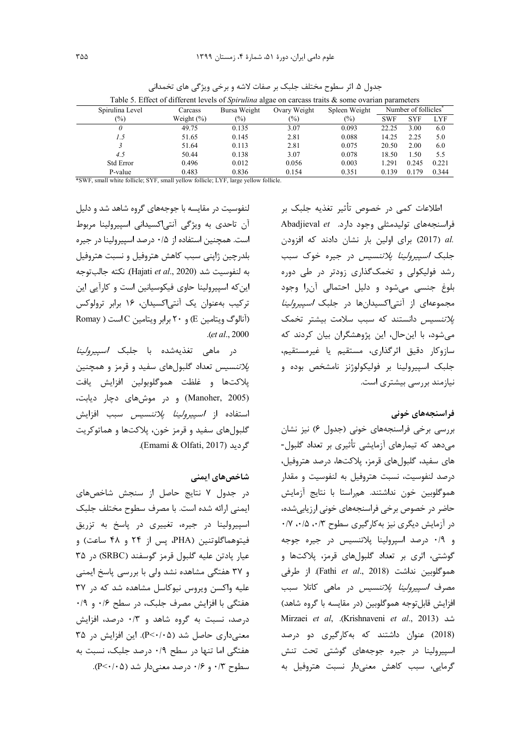|                  | Table 5. Effect of different levels of <i>Spirulina</i> algae on carcass traits & some ovarian parameters |              |              |               |                                  |            |            |  |  |
|------------------|-----------------------------------------------------------------------------------------------------------|--------------|--------------|---------------|----------------------------------|------------|------------|--|--|
| Spirulina Level  | Carcass                                                                                                   | Bursa Weight | Ovary Weight | Spleen Weight | Number of follicles <sup>®</sup> |            |            |  |  |
| $(\%)$           | Weight $(\% )$                                                                                            | (%)          | $(\%)$       | $(\%)$        | <b>SWF</b>                       | <b>SYF</b> | <b>LYF</b> |  |  |
| 0                | 49.75                                                                                                     | 0.135        | 3.07         | 0.093         | 22.25                            | 3.00       | 6.0        |  |  |
| 1.5              | 51.65                                                                                                     | 0.145        | 2.81         | 0.088         | 14.25                            | 2.25       | 5.0        |  |  |
|                  | 51.64                                                                                                     | 0.113        | 2.81         | 0.075         | 20.50                            | 2.00       | 6.0        |  |  |
| 4.5              | 50.44                                                                                                     | 0.138        | 3.07         | 0.078         | 18.50                            | 1.50       | 5.5        |  |  |
| <b>Std Error</b> | 0.496                                                                                                     | 0.012        | 0.056        | 0.003         | 1.291                            | 0.245      | 0.221      |  |  |
| P-value          | 0.483                                                                                                     | 0.836        | 0.154        | 0.351         | 0.139                            | 0.179      | 0.344      |  |  |

جدول ۵. اثر سطوح مختلف جلبک بر صفات لاشه و برخی ویژگی های تخمدانی

\*SWF, small white follicle; SYF, small yellow follicle; LYF, large yellow follicle.

لنفوسیت در مقایسه با جوجههای گروه شاهد شد و دلیل آن تاحدی به ویژگی آنتیاکسیدانی اسپیرولینا مربوط است. همچنین استفاده از ۰/۵ درصد اسپیرولینا در جیره بلدرچین ژاپنی سبب کاهش هتروفیل و نسبت هتروفیل به لنفوسيت شد (Hajati et al., 2020). نكته جالبتوجه این که اسپیرولینا حاوی فیکوسیانین است و کارآیی این ترکیب بهعنوان یک آنتی|کسیدان، ۱۶ برابر ترولوکس (آنالوگ ویتامین E) و ۲۰ برابر ویتامین C است ( Romay  $. (et al., 2000)$ 

در ماهی تغذیهشده با جلبک *اسپیرولینا* پ*لاتنسیس* تعداد گلبولهای سفید و قرمز و همچنین پلاكتها و غلظت هموگلوبولين افزايش يافت (Manoher, 2005) و در موشهای دچار دیابت، استفاده از *اسپیرولینا پلاتنسیس* سبب افزایش گلبولهای سفید و قرمز خون، پلاکتها و هماتوکریت گردید (Emami & Olfati, 2017).

# شاخصهای ایمنی

در جدول ۷ نتایج حاصل از سنجش شاخصهای ایمنی ارائه شده است. با مصرف سطوح مختلف جلبک اسپیرولینا در جیره، تغییری در پاسخ به تزریق فيتوهماگلوتنين (PHA، پس از ۲۴ و ۴۸ ساعت) و عيار يادتن عليه كلبول قرمز كوسفند (SRBC) در ٣٥ و ۳۷ هفتگی مشاهده نشد ولی با بررسی پاسخ ایمنی علیه واکسن ویروس نیوکاسل مشاهده شد که در ۳۷ هفتگی با افزایش مصرف جلبک، در سطح ۰/۶ و ۰/۹ درصد، نسبت به گروه شاهد و ۰/۳ درصد، افزایش معنی داری حاصل شد (P<٠/٠۵). این افزایش در ۳۵ هفتگی اما تنها در سطح ۰/۹ درصد جلبک، نسبت به سطوح ۰/۳ و ۰/۴ درصد معنیدار شد (۰/۵-۰).

اطلاعات کمی در خصوص تأثیر تغذیه جلبک بر Abadjieval et ... وارد. Abadjieval et .al (2017) برای اولین بار نشان دادند که افزودن جلبک *اسپیرولینا پلاتنسیس* در جیره خوک سبب رشد فولیکولی و تخمک گذاری زودتر در طی دوره بلوغ جنسی می شود و دلیل احتمالی آن را وجود مجموعهای از آنتیاکسیدانها در جلبک *اسپیرولینا یلاتنسیس* دانستند که سبب سلامت بیشتر تخمک می شود، با این حال، این پژوهشگران بیان کردند که سازوكار دقيق اثرگذاري، مستقيم يا غيرمستقيم، جلبک اسپیرولینا بر فولیکولوژنز نامشخص بوده و نیازمند بررسی بیشتری است.

# فراسنجەھای خونی

بررسی برخی فراسنجههای خونی (جدول ۶) نیز نشان میدهد که تیمارهای آزمایشی تأثیری بر تعداد گلبول-های سفید، گلبولهای قرمز، پلاکتها، درصد هتروفیل، درصد لنفوسيت، نسبت هتروفيل به لنفوسيت و مقدار هموگلوبین خون نداشتند. هم<sub>د</sub>استا با نتایج آزمایش حاضر در خصوص برخی فراسنجههای خونی ارزیابیشده، در آزمایش دیگری نیز به کارگیری سطوح ۰/۷ ،۰/۵ ۰۰/۳ و ۰/۹ درصد اسپرولینا پلاتنسیس در جیره جوجه گوشتی، اثری بر تعداد گلبولهای قرمز، پلاکتها و هموگلوبین نداشت (Fathi et al., 2018). از طرفی مصرف *اسپیرولینا پلاتنسیس* در ماهی کاتلا سبب افزایش قابل توجه هموگلوبین (در مقایسه با گروه شاهد) Mirzaei et al, .(Krishnaveni et al., 2013) شد (2018) عنوان داشتند که بهکارگیری دو درصد اسپیرولینا در جیره جوجههای گوشتی تحت تنش گرمایی، سبب کاهش معنیدار نسبت هتروفیل به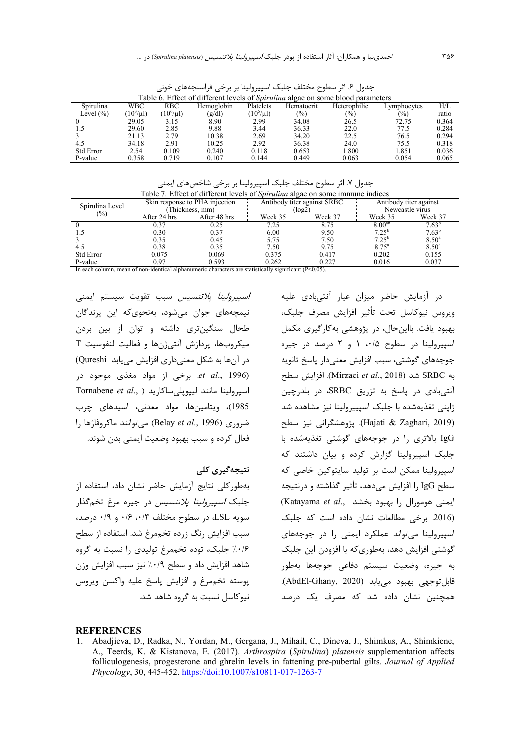Table 6. Effect of different levels of *Spirulina* algae on some blood parameters Spirulina Level (%) **WBC**  $(10^3/\mu l)$ RBC  $(10^6/\mu l)$ Hemoglobin  $\frac{(g/dl)}{8.90}$ Platelets  $(10^5/\mu l)$ Hematocrit  $\frac{(\%)}{34.08}$ Heterophilic  $\frac{(\%)}{26.5}$ Lymphocytes  $\frac{(96)}{72.75}$  $H/I$ .  $\frac{\text{ratio}}{0.364}$ 0 29.05 3.15 8.90 2.99 34.08 26.5 72.75 0.364 1.5 29.60 2.85 9.88 3.44 36.33 22.0 77.5 0.284 3 21.13 2.79 10.38 2.69 34.20 22.5 76.5 0.294 4.5 34.18 2.91 10.25 2.92 36.38 24.0 75.5 0.318 Std Error 2.54 0.109 0.240 0.118 0.653 1.800 1.851 0.036 P-value 0.358 0.719 0.107 0.144 0.449 0.063 0.054 0.065

جدول ۶. اثر سطوح مختلف جلبک اسپیرولینا بر برخی فراسنجههای خونی

جدول ۷. اثر سطوح مختلف جلبک اسپیرولینا بر برخی شاخصهای ایمنی

| Table 7. Effect of different levels of <i>Spirulina</i> algae on some immune indices                     |              |                                |         |                             |                                           |                |  |  |  |  |
|----------------------------------------------------------------------------------------------------------|--------------|--------------------------------|---------|-----------------------------|-------------------------------------------|----------------|--|--|--|--|
| Spirulina Level                                                                                          |              | Skin response to PHA injection |         | Antibody titer against SRBC | Antibody titer against<br>Newcastle virus |                |  |  |  |  |
| $(\%)$                                                                                                   |              | Thickness, mm)                 |         | (log2)                      |                                           |                |  |  |  |  |
|                                                                                                          | After 24 hrs | After 48 hrs                   | Week 35 | Week 37                     | Week 35                                   | Week 37        |  |  |  |  |
|                                                                                                          | 0.37         | 0.25                           | 7.25    | 8.75                        | $8.00^{ab}$                               | $7.63^b$       |  |  |  |  |
|                                                                                                          | 0.30         | 0.37                           | 6.00    | 9.50                        | $7.25^{\rm b}$                            | $7.63^{b}$     |  |  |  |  |
|                                                                                                          | 0.35         | 0.45                           | 5.75    | 7.50                        | $7.25^{b}$                                | $8.50^{\circ}$ |  |  |  |  |
| 4.5                                                                                                      | 0.38         | 0.35                           | 7.50    | 9.75                        | $8.75^{\circ}$                            | $8.50^{\circ}$ |  |  |  |  |
| <b>Std Error</b>                                                                                         | 0.075        | 0.069                          | 0.375   | 0.417                       | 0.202                                     | 0.155          |  |  |  |  |
| P-value                                                                                                  | 0.97         | 0.593                          | 0.262   | 0.227                       | 0.016                                     | 0.037          |  |  |  |  |
| In each column, mean of non-identical alphanumeric characters are statistically significant $(P<0.05)$ . |              |                                |         |                             |                                           |                |  |  |  |  |

*اسييرولينا يلاتنسيس* سبب تقويت سيستم ايمنى نیمچههای جوان میشود، بهنحویکه این پرندگان طحال سنگینتری داشته و توان از بین بردن ميكروبها، پردازش آنتي ژنها و فعاليت لنفوسيت T در آنها به شکل معنیداری افزایش مییابد Qureshi) et al., 1996). برخی از مواد مغذی موجود در Tornabene *et al.*, ) اسپرولينا مانند ليپوپلي ساكا<sub>ر</sub>يد 1985)، ویتامینها، مواد معدنی، اسیدهای چرب ضروري (Belay *et al.*, 1996) مي توانند ماكروفاژها را فعال کرده و سبب بهبود وضعیت ایمنی بدن شوند.

#### **نتیجهگیری کلی**

بهطور كلي نتايج آزمايش حاضر نشان داد، استفاده از جلبک *اسپیرولینا پلاتنسیس* در جیره مرغ تخمگذار  $\cdot$ سویه LSL، در سطوح مختلف ۰/۳  $\cdot$ ۰/۶ و ۰/۹ درصد سبب افزایش رنگ زرده تخممرغ شد. استفاده از سطح ۰/۶/ جلبک، توده تخممرغ تولیدی را نسبت به گروه شاهد افزایش داد و سطح ۰/۹٪ نیز سبب افزایش وزن يوسته تخممرغ و افزايش ياسخ عليه واكسن ويروس نیوکاسل نسبت به گروه شاهد شد.

در آزمایش حاضر میزان عیار آنتی بادی علیه ويروس نيوكاسل تحت تأثير افزايش مصرف جلبك، بهبود يافت. بااين حال، در پژوهشي به كارگيري مكمل اسپیرولینا در سطوح ۰/۵، ۱ و ۲ درصد در جیره جوجههای گوشتی، سبب افزایش معنیدار پاسخ ثانویه به SRBC شد (Mirzaei *et al.*, 2018). افزايش سطح آنتیبادی در پاسخ به تزریق SRBC، در بلدرچین ژاپنی تغذیهشده با جلبک اسپییرولینا نیز مشاهده شد sq& < 6 /DE!U( .(Hajati & Zaghari, 2019) IgG بالاتری را در جوجههای گوشتی تغذیهشده با جلبک اسپیرولینا گزارش کرده و بیان داشتند که اسپیرولینا ممکن است بر تولید سایتوکین خاصی که سطح IgG را افزایش میدهد، تأثیر گذاشته و درنتیجه (Katayama et al., ایمنی هومورال را بهبود بخشد) (2016. برخی مطالعات نشان داده است که جلبک اسپیرولینا میتواند عملکرد ایمنی را در جوجههای گوشتی افزایش دهد، بهطوریکه با افزودن این جلبک به جيره، وضعيت سيستم دفاعي جوجهها بهطور قابل توجهي بهبود مي يابد (AbdEl-Ghany, 2020). همچنین نشان داده شد که مصرف یک درصد

#### **REFERENCES**

1. Abadjieva, D., Radka, N., Yordan, M., Gergana, J., Mihail, C., Dineva, J., Shimkus, A., Shimkiene, A., Teerds, K. & Kistanova, E*.* (2017). *Arthrospira* (*Spirulina*) *platensis* supplementation affects folliculogenesis, progesterone and ghrelin levels in fattening pre-pubertal gilts. *Journal of Applied Phycology*, 30, 445-452. https://doi:10.1007/s10811-017-1263-7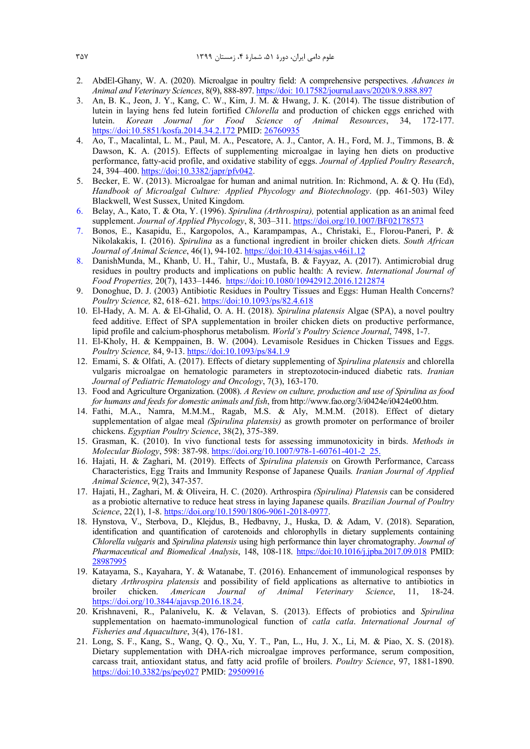- 2. AbdEl-Ghany, W. A. (2020). Microalgae in poultry field: A comprehensive perspectives. *Advances in Animal and Veterinary Sciences*, 8(9), 888-897. https://doi: 10.17582/journal.aavs/2020/8.9.888.897
- 3. An, B. K., Jeon, J. Y., Kang, C. W., Kim, J. M. & Hwang, J. K. (2014). The tissue distribution of lutein in laying hens fed lutein fortified *Chlorella* and production of chicken eggs enriched with lutein. *Korean Journal for Food Science of Animal Resources*, 34, 172-177. https://doi:10.5851/kosfa.2014.34.2.172 PMID: 26760935
- 4. Ao, T., Macalintal, L. M., Paul, M. A., Pescatore, A. J., Cantor, A. H., Ford, M. J., Timmons, B. & Dawson, K. A. (2015). Effects of supplementing microalgae in laying hen diets on productive performance, fatty-acid profile, and oxidative stability of eggs. *Journal of Applied Poultry Research*, 24, 394–400. https://doi:10.3382/japr/pfv042.
- 5. Becker, E. W. (2013). Microalgae for human and animal nutrition. In: Richmond, A. & Q. Hu (Ed), *Handbook of Microalgal Culture: Applied Phycology and Biotechnology*. (pp. 461-503) Wiley Blackwell, West Sussex, United Kingdom.
- 6. Belay, A., Kato, T. & Ota, Y. (1996). *Spirulina (Arthrospira),* potential application as an animal feed supplement. *Journal of Applied Phycology*, 8, 303–311. https://doi.org/10.1007/BF02178573
- 7. Bonos, E., Kasapidu, E., Kargopolos, A., Karampampas, A., Christaki, E., Florou-Paneri, P. & Nikolakakis, I. (2016). *Spirulina* as a functional ingredient in broiler chicken diets. *South African Journal of Animal Science*, 46(1), 94-102. https://doi:10.4314/sajas.v46i1.12
- 8. DanishMunda, M., Khanb, U. H., Tahir, U., Mustafa, B. & Fayyaz, A. (2017). Antimicrobial drug residues in poultry products and implications on public health: A review. *International Journal of Food Properties,* 20(7), 1433–1446. https://doi:10.1080/10942912.2016.1212874
- 9. Donoghue, D. J. (2003) Antibiotic Residues in Poultry Tissues and Eggs: Human Health Concerns? *Poultry Science,* 82, 618–621. https://doi:10.1093/ps/82.4.618
- 10. El-Hady, A. M. A. & El-Ghalid, O. A. H. (2018). *Spirulina platensis* Algae (SPA), a novel poultry feed additive. Effect of SPA supplementation in broiler chicken diets on productive performance, lipid profile and calcium-phosphorus metabolism. *World's Poultry Science Journal*, 7498, 1-7.
- 11. El-Kholy, H. & Kemppainen, B. W. (2004). Levamisole Residues in Chicken Tissues and Eggs. *Poultry Science,* 84, 9-13. https://doi:10.1093/ps/84.1.9
- 12. Emami, S. & Olfati, A. (2017). Effects of dietary supplementing of *Spirulina platensis* and chlorella vulgaris microalgae on hematologic parameters in streptozotocin-induced diabetic rats. *Iranian Journal of Pediatric Hematology and Oncology*, 7(3), 163-170.
- 13. Food and Agriculture Organization. (2008). *A Review on culture, production and use of Spirulina as food for humans and feeds for domestic animals and fish*, from http://www.fao.org/3/i0424e/i0424e00.htm.
- 14. Fathi, M.A., Namra, M.M.M., Ragab, M.S. & Aly, M.M.M. (2018). Effect of dietary supplementation of algae meal *(Spirulina platensis)* as growth promoter on performance of broiler chickens. *Egyptian Poultry Science*, 38(2), 375-389.
- 15. Grasman, K. (2010). In vivo functional tests for assessing immunotoxicity in birds. *Methods in Molecular Biology*, 598: 387-98. https://doi.org/10.1007/978-1-60761-401-2\_25.
- 16. Hajati, H. & Zaghari, M. (2019). Effects of *Spirulina platensis* on Growth Performance, Carcass Characteristics, Egg Traits and Immunity Response of Japanese Quails*. Iranian Journal of Applied Animal Science*, 9(2), 347-357.
- 17. Hajati, H., Zaghari, M. & Oliveira, H. C. (2020). Arthrospira *(Spirulina) Platensis* can be considered as a probiotic alternative to reduce heat stress in laying Japanese quails. *Brazilian Journal of Poultry Science*, 22(1), 1-8. https://doi.org/10.1590/1806-9061-2018-0977.
- 18. Hynstova, V., Sterbova, D., Klejdus, B., Hedbavny, J., Huska, D. & Adam, V. (2018). Separation, identification and quantification of carotenoids and chlorophylls in dietary supplements containing *Chlorella vulgaris* and *Spirulina platensis* using high performance thin layer chromatography. *Journal of Pharmaceutical and Biomedical Analysis*, 148, 108-118. https://doi:10.1016/j.jpba.2017.09.018 PMID: 28987995
- 19. Katayama, S., Kayahara, Y. & Watanabe, T. (2016). Enhancement of immunological responses by dietary *Arthrospira platensis* and possibility of field applications as alternative to antibiotics in broiler chicken. *American Journal of Animal Veterinary Science*, 11, 18-24. https://doi.org/10.3844/ajavsp.2016.18.24.
- 20. Krishnaveni, R., Palanivelu, K. & Velavan, S. (2013). Effects of probiotics and *Spirulina* supplementation on haemato-immunological function of *catla catla*. *International Journal of Fisheries and Aquaculture*, 3(4), 176-181.
- 21. Long, S. F., Kang, S., Wang, Q. Q., Xu, Y. T., Pan, L., Hu, J. X., Li, M. & Piao, X. S. (2018). Dietary supplementation with DHA-rich microalgae improves performance, serum composition, carcass trait, antioxidant status, and fatty acid profile of broilers. *Poultry Science*, 97, 1881-1890. https://doi:10.3382/ps/pey027 PMID: 29509916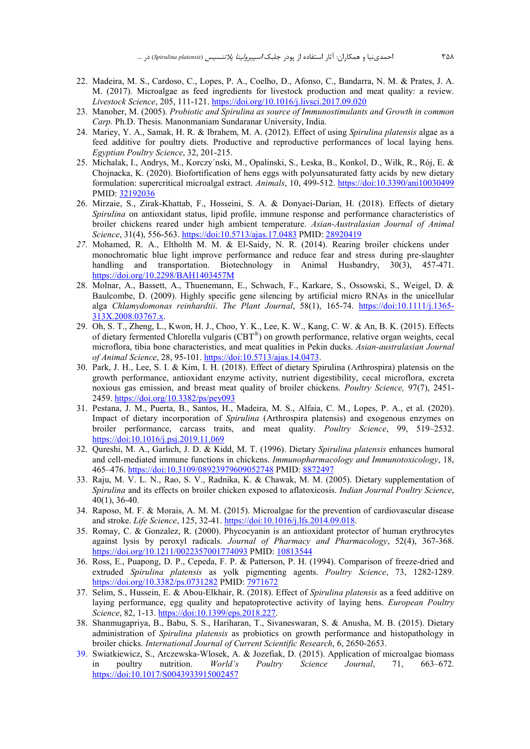- 22. Madeira, M. S., Cardoso, C., Lopes, P. A., Coelho, D., Afonso, C., Bandarra, N. M. & Prates, J. A. M. (2017). Microalgae as feed ingredients for livestock production and meat quality: a review. *Livestock Science*, 205, 111-121. https://doi.org/10.1016/j.livsci.2017.09.020
- 23. Manoher, M. (2005). *Probiotic and Spirulina as source of Immunostimulants and Growth in common Carp.* Ph.D. Thesis. Manonmaniam Sundaranar University, India.
- 24. Mariey, Y. A., Samak, H. R. & Ibrahem, M. A. (2012). Effect of using *Spirulina platensis* algae as a feed additive for poultry diets. Productive and reproductive performances of local laying hens. *Egyptian Poultry Science*, 32, 201-215.
- 25. Michalak, I., Andrys, M., Korczy´nski, M., Opalinski, S., Łeska, B., Konkol, D., Wilk, R., Rój, E. & Chojnacka, K. (2020). Biofortification of hens eggs with polyunsaturated fatty acids by new dietary formulation: supercritical microalgal extract. *Animals*, 10, 499-512. https://doi:10.3390/ani10030499 PMID: 32192036
- 26. Mirzaie, S., Zirak-Khattab, F., Hosseini, S. A. & Donyaei-Darian, H. (2018). Effects of dietary *Spirulina* on antioxidant status, lipid profile, immune response and performance characteristics of broiler chickens reared under high ambient temperature. *Asian-Australasian Journal of Animal Science*, 31(4), 556-563. https://doi:10.5713/ajas.17.0483 PMID: 28920419
- *27.* Mohamed, R. A., Eltholth M. M. & El-Saidy, N. R. (2014). Rearing broiler chickens under monochromatic blue light improve performance and reduce fear and stress during pre-slaughter handling and transportation. Biotechnology in Animal Husbandry, 30(3), 457-471. https://doi.org/10.2298/BAH1403457M
- 28. Molnar, A., Bassett, A., Thuenemann, E., Schwach, F., Karkare, S., Ossowski, S., Weigel, D. & Baulcombe, D. (2009). Highly specific gene silencing by artificial micro RNAs in the unicellular alga *Chlamydomonas reinhardtii*. *The Plant Journal*, 58(1), 165-74. https://doi:10.1111/j.1365- 313X.2008.03767.x.
- 29. Oh, S. T., Zheng, L., Kwon, H. J., Choo, Y. K., Lee, K. W., Kang, C. W. & An, B. K. (2015). Effects of dietary fermented Chlorella vulgaris (CBT®) on growth performance, relative organ weights, cecal microflora, tibia bone characteristics, and meat qualities in Pekin ducks. *Asian-australasian Journal of Animal Science*, 28, 95-101. https://doi:10.5713/ajas.14.0473.
- 30. Park, J. H., Lee, S. I. & Kim, I. H. (2018). Effect of dietary Spirulina (Arthrospira) platensis on the growth performance, antioxidant enzyme activity, nutrient digestibility, cecal microflora, excreta noxious gas emission, and breast meat quality of broiler chickens. *Poultry Science,* 97(7), 2451- 2459. https://doi.org/10.3382/ps/pey093
- 31. Pestana, J. M., Puerta, B., Santos, H., Madeira, M. S., Alfaia, C. M., Lopes, P. A., et al. (2020). Impact of dietary incorporation of *Spirulina* (Arthrospira platensis) and exogenous enzymes on broiler performance, carcass traits, and meat quality. *Poultry Science*, 99, 519–2532. https://doi:10.1016/j.psj.2019.11.069
- 32. Qureshi, M. A., Garlich, J. D. & Kidd, M. T. (1996). Dietary *Spirulina platensis* enhances humoral and cell-mediated immune functions in chickens. *Immunopharmacology and Immunotoxicology*, 18, 465–476. https://doi:10.3109/08923979609052748 PMID: 8872497
- 33. Raju, M. V. L. N., Rao, S. V., Radnika, K. & Chawak, M. M. (2005). Dietary supplementation of *Spirulina* and its effects on broiler chicken exposed to aflatoxicosis. *Indian Journal Poultry Science*, 40(1), 36-40.
- 34. Raposo, M. F. & Morais, A. M. M. (2015). Microalgae for the prevention of cardiovascular disease and stroke. *Life Science*, 125, 32-41. https://doi:10.1016/j.lfs.2014.09.018.
- 35. Romay, C. & Gonzalez, R. (2000). Phycocyanin is an antioxidant protector of human erythrocytes against lysis by peroxyl radicals. *Journal of Pharmacy and Pharmacology*, 52(4), 367-368. https://doi.org/10.1211/0022357001774093 PMID: 10813544
- 36. Ross, E., Puapong, D. P., Cepeda, F. P. & Patterson, P. H. (1994). Comparison of freeze-dried and extruded *Spirulina platensis* as yolk pigmenting agents. *Poultry Science*, 73, 1282-1289. https://doi.org/10.3382/ps.0731282 PMID: 7971672
- 37. Selim, S., Hussein, E. & Abou-Elkhair, R. (2018). Effect of *Spirulina platensis* as a feed additive on laying performance, egg quality and hepatoprotective activity of laying hens. *European Poultry Science*, 82, 1-13. https://doi:10.1399/eps.2018.227.
- 38. Shanmugapriya, B., Babu, S. S., Hariharan, T., Sivaneswaran, S. & Anusha, M. B. (2015). Dietary administration of *Spirulina platensis* as probiotics on growth performance and histopathology in broiler chicks. *International Journal of Current Scientific Research*, 6, 2650-2653.
- 39. Swiatkiewicz, S., Arczewska-Wlosek, A. & Jozefiak, D. (2015). Application of microalgae biomass in poultry nutrition. *World's Poultry Science Journal*, 71, 663–672. https://doi:10.1017/S0043933915002457